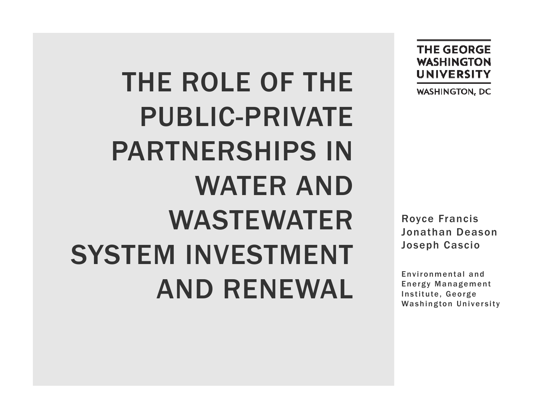THE ROLE OF THE PUBLIC-PRIVATE PARTNERSHIPS IN WATER AND WASTEWATER SYSTEM INVESTMENT AND RENEWAL

**THE GEORGE WASHINGTON UNIVERSITY** 

**WASHINGTON, DC** 

Royce Francis Jonathan Deason Joseph Cascio

Environmental and Energy Management Institute, George Washington University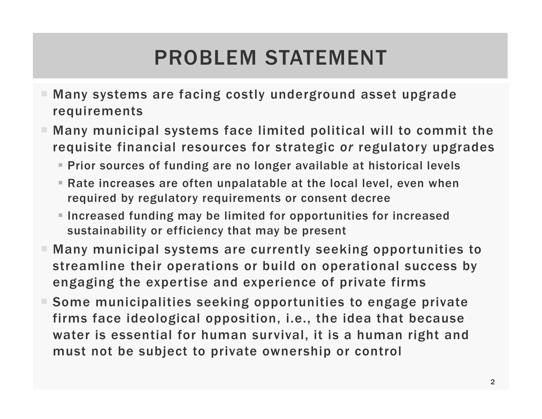## PROBLEM STATEMENT

- Many systems are facing costly underground asset upgrade requirements
- $\blacksquare$  Many municipal systems face limited political will to commit the requisite financial resources for strategic *or* regulatory upgrades
	- Prior sources of funding are no longer available at historical levels
	- Rate increases are often unpalatable at the local level, even when required by regulatory requirements or consent decree
	- Increased funding may be limited for opportunities for increased sustainability or efficiency that may be present
- $\blacksquare$  Many municipal systems are currently seeking opportunities to streamline their operations or build on operational success by engaging the expertise and experience of private firms
- Some municipalities seeking opportunities to engage private firms face ideological opposition, i.e., the idea that because water is essential for human survival, it is a human right and must not be subject to private ownership or control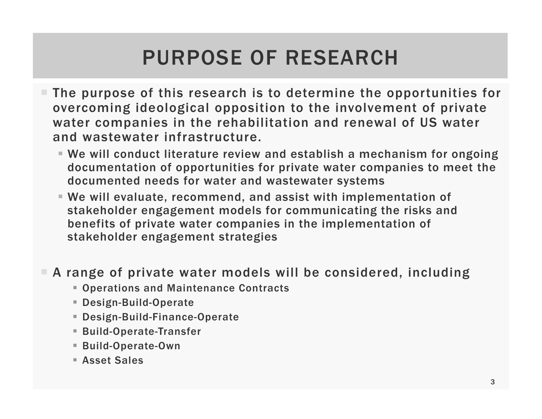## PURPOSE OF RESEARCH

- $\blacksquare$  The purpose of this research is to determine the opportunities for overcoming ideological opposition to the involvement of private water companies in the rehabilitation and renewal of US water and wastewater infrastructure.
	- We will conduct literature review and establish a mechanism for ongoing documentation of opportunities for private water companies to meet the documented needs for water and wastewater systems
	- We will evaluate, recommend, and assist with implementation of stakeholder engagement models for communicating the risks and benefits of private water companies in the implementation of stakeholder engagement strategies
- A range of private water models will be considered, including
	- Operations and Maintenance Contracts
	- Design-Build-Operate
	- Design-Build-Finance-Operate
	- Build-Operate-Transfer
	- Build-Operate-Own
	- Asset Sales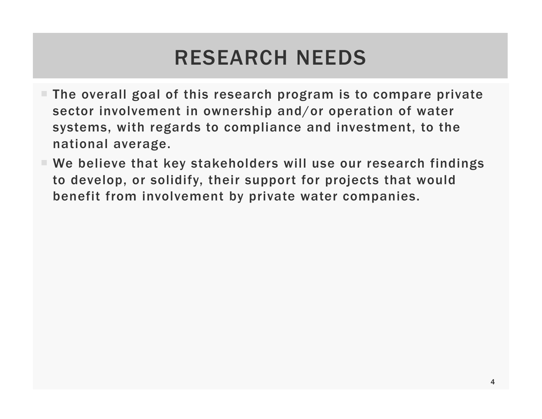#### RESEARCH NEEDS

- $\blacksquare$  The overall goal of this research program is to compare private sector involvement in ownership and/or operation of water systems, with regards to compliance and investment, to the national average.
- We believe that key stakeholders will use our research findings to develop, or solidify, their support for projects that would benefit from involvement by private water companies.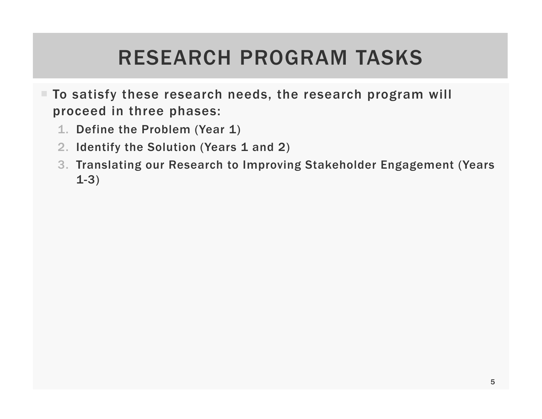#### RESEARCH PROGRAM TASKS

- $\blacksquare$  To satisfy these research needs, the research program will proceed in three phases:
	- 1. Define the Problem (Year 1)
	- 2. Identify the Solution (Years 1 and 2)
	- 3. Translating our Research to Improving Stakeholder Engagement (Years 1-3)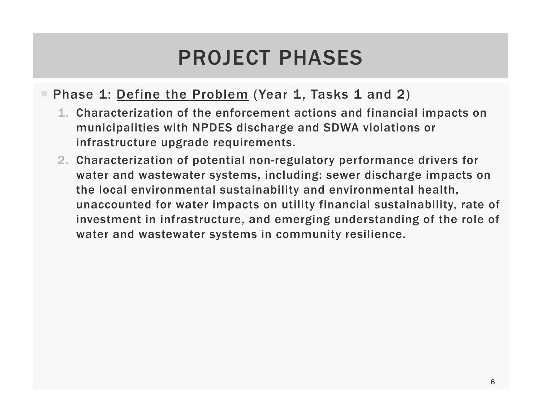#### PROJECT PHASES

#### **F** Phase 1: <u>Define the Problem</u> (Year 1, Tasks 1 and 2)

- 1. Characterization of the enforcement actions and financial impacts on municipalities with NPDES discharge and SDWA violations or infrastructure upgrade requirements.
- 2. Characterization of potential non-regulatory performance drivers for water and wastewater systems, including: sewer discharge impacts on the local environmental sustainability and environmental health, unaccounted for water impacts on utility financial sustainability, rate of investment in infrastructure, and emerging understanding of the role of water and wastewater systems in community resilience.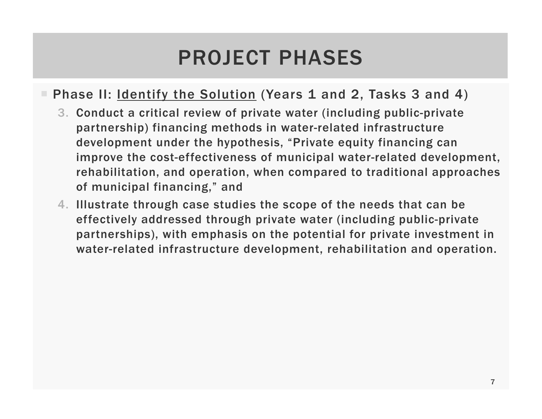#### PROJECT PHASES

#### **• Phase II**: <u>Identify the Solution</u> (Years 1 and 2, Tasks 3 and 4)

- 3. Conduct a critical review of private water (including public-private partnership) financing methods in water-related infrastructure development under the hypothesis, "Private equity financing can improve the cost-effectiveness of municipal water-related development, rehabilitation, and operation, when compared to traditional approaches of municipal financing," and
- 4. Illustrate through case studies the scope of the needs that can be effectively addressed through private water (including public-private partnerships), with emphasis on the potential for private investment in water-related infrastructure development, rehabilitation and operation.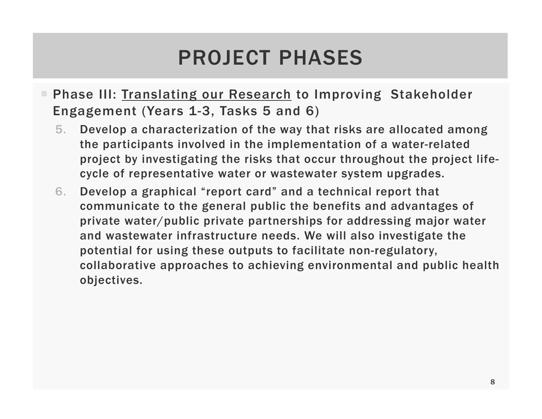#### PROJECT PHASES

- **Fiamber 11. Phase III: Translating our Research to Improving Stakeholder** Engagement (Years 1-3, Tasks 5 and 6)
	- 5. Develop a characterization of the way that risks are allocated among the participants involved in the implementation of a water-related project by investigating the risks that occur throughout the project lifecycle of representative water or wastewater system upgrades.
	- 6. Develop a graphical "report card" and a technical report that communicate to the general public the benefits and advantages of private water/public private partnerships for addressing major water and wastewater infrastructure needs. We will also investigate the potential for using these outputs to facilitate non-regulatory, collaborative approaches to achieving environmental and public health objectives.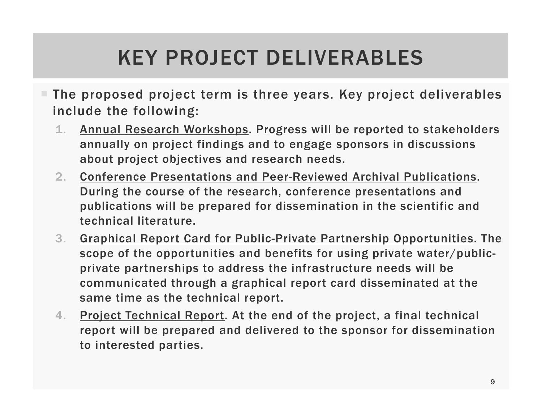# KEY PROJECT DELIVERABLES

- $\blacksquare$  The proposed project term is three years. Key project deliverables include the following:
	- 1. Annual Research Workshops. Progress will be reported to stakeholders annually on project findings and to engage sponsors in discussions about project objectives and research needs.
	- 2. Conference Presentations and Peer-Reviewed Archival Publications. During the course of the research, conference presentations and publications will be prepared for dissemination in the scientific and technical literature.
	- 3. Graphical Report Card for Public-Private Partnership Opportunities. The scope of the opportunities and benefits for using private water/publicprivate partnerships to address the infrastructure needs will be communicated through a graphical report card disseminated at the same time as the technical report.
	- 4. Project Technical Report. At the end of the project, a final technical report will be prepared and delivered to the sponsor for dissemination to interested parties.